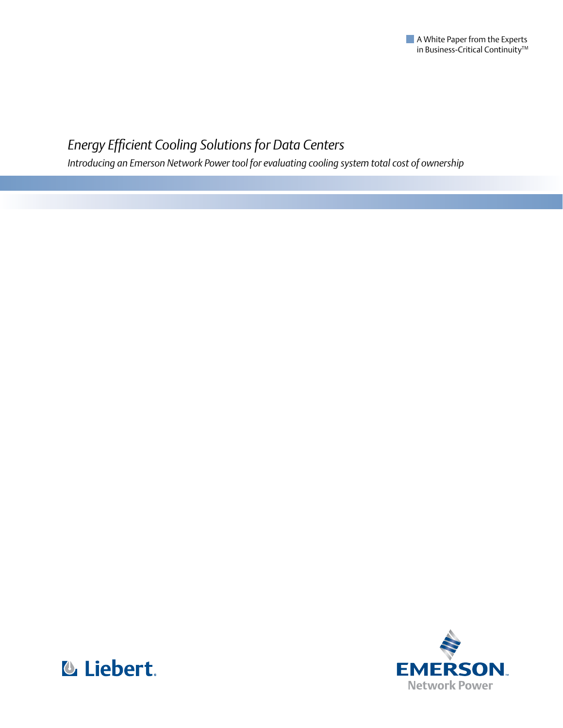

# *Energy Efficient Cooling Solutions for Data Centers*

*Introducing an Emerson Network Power tool for evaluating cooling system total cost of ownership*



**& Liebert.**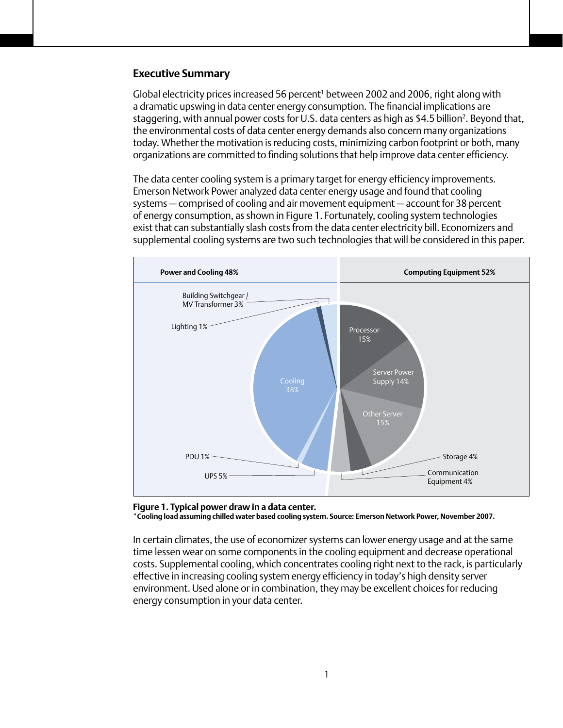#### **Executive Summary**

Global electricity prices increased 56 percent<sup>1</sup> between 2002 and 2006, right along with a dramatic upswing in data center energy consumption. The financial implications are staggering, with annual power costs for U.S. data centers as high as \$4.5 billion<sup>2</sup>. Beyond that, the environmental costs of data center energy demands also concern many organizations today. Whether the motivation is reducing costs, minimizing carbon footprint or both, many organizations are committed to finding solutions that help improve data center efficiency.

The data center cooling system is a primary target for energy efficiency improvements. Emerson Network Power analyzed data center energy usage and found that cooling systems — comprised of cooling and air movement equipment — account for 38 percent of energy consumption, as shown in Figure 1. Fortunately, cooling system technologies exist that can substantially slash costs from the data center electricity bill. Economizers and supplemental cooling systems are two such technologies that will be considered in this paper.



**Figure 1. Typical power draw in a data center. \*Cooling load assuming chilled water based cooling system. Source: Emerson Network Power, November 2007.**

In certain climates, the use of economizer systems can lower energy usage and at the same time lessen wear on some components in the cooling equipment and decrease operational costs. Supplemental cooling, which concentrates cooling right next to the rack, is particularly effective in increasing cooling system energy efficiency in today's high density server environment. Used alone or in combination, they may be excellent choices for reducing energy consumption in your data center.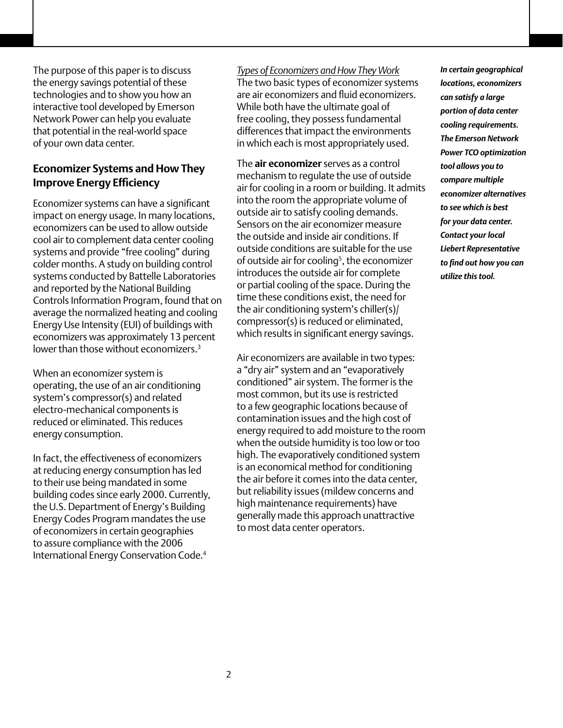The purpose of this paper is to discuss the energy savings potential of these technologies and to show you how an interactive tool developed by Emerson Network Power can help you evaluate that potential in the real-world space of your own data center.

# **Economizer Systems and How They Improve Energy Efficiency**

Economizer systems can have a significant impact on energy usage. In many locations, economizers can be used to allow outside cool air to complement data center cooling systems and provide "free cooling" during colder months. A study on building control systems conducted by Battelle Laboratories and reported by the National Building Controls Information Program, found that on average the normalized heating and cooling Energy Use Intensity (EUI) of buildings with economizers was approximately 13 percent lower than those without economizers.<sup>3</sup>

When an economizer system is operating, the use of an air conditioning system's compressor(s) and related electro-mechanical components is reduced or eliminated. This reduces energy consumption.

In fact, the effectiveness of economizers at reducing energy consumption has led to their use being mandated in some building codes since early 2000. Currently, the U.S. Department of Energy's Building Energy Codes Program mandates the use of economizers in certain geographies to assure compliance with the 2006 International Energy Conservation Code.4

#### *Types of Economizers and How They Work*

The two basic types of economizer systems are air economizers and fluid economizers. While both have the ultimate goal of free cooling, they possess fundamental differences that impact the environments in which each is most appropriately used.

The **air economizer** serves as a control mechanism to regulate the use of outside air for cooling in a room or building. It admits into the room the appropriate volume of outside air to satisfy cooling demands. Sensors on the air economizer measure the outside and inside air conditions. If outside conditions are suitable for the use of outside air for cooling<sup>5</sup>, the economizer introduces the outside air for complete or partial cooling of the space. During the time these conditions exist, the need for the air conditioning system's chiller(s)/ compressor(s) is reduced or eliminated, which results in significant energy savings.

Air economizers are available in two types: a "dry air" system and an "evaporatively conditioned" air system. The former is the most common, but its use is restricted to a few geographic locations because of contamination issues and the high cost of energy required to add moisture to the room when the outside humidity is too low or too high. The evaporatively conditioned system is an economical method for conditioning the air before it comes into the data center, but reliability issues (mildew concerns and high maintenance requirements) have generally made this approach unattractive to most data center operators.

*In certain geographical locations, economizers can satisfy a large portion of data center cooling requirements. The Emerson Network Power TCO optimization tool allows you to compare multiple economizer alternatives to see which is best for your data center. Contact your local Liebert Representative to find out how you can utilize this tool.*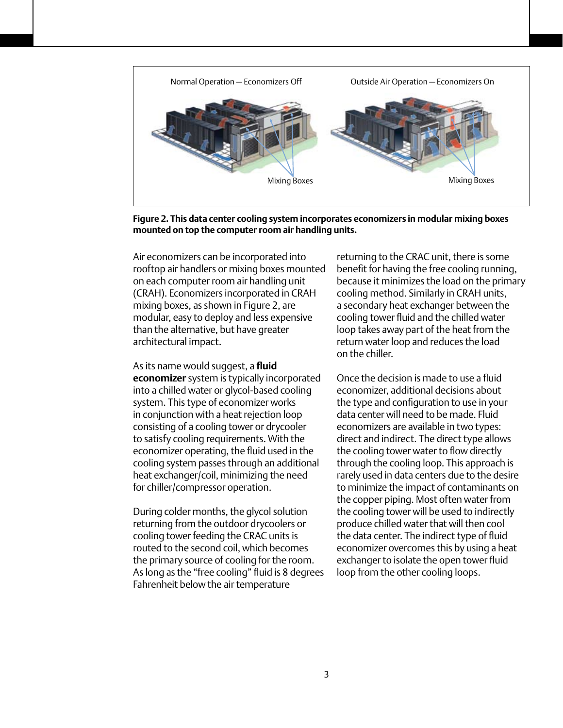

**Figure 2. This data center cooling system incorporates economizers in modular mixing boxes mounted on top the computer room air handling units.**

Air economizers can be incorporated into rooftop air handlers or mixing boxes mounted on each computer room air handling unit (CRAH). Economizers incorporated in CRAH mixing boxes, as shown in Figure 2, are modular, easy to deploy and less expensive than the alternative, but have greater architectural impact.

As its name would suggest, a **fluid economizer** system is typically incorporated into a chilled water or glycol-based cooling system. This type of economizer works in conjunction with a heat rejection loop consisting of a cooling tower or drycooler to satisfy cooling requirements. With the economizer operating, the fluid used in the cooling system passes through an additional heat exchanger/coil, minimizing the need for chiller/compressor operation.

During colder months, the glycol solution returning from the outdoor drycoolers or cooling tower feeding the CRAC units is routed to the second coil, which becomes the primary source of cooling for the room. As long as the "free cooling" fluid is 8 degrees Fahrenheit below the air temperature

returning to the CRAC unit, there is some benefit for having the free cooling running, because it minimizes the load on the primary cooling method. Similarly in CRAH units, a secondary heat exchanger between the cooling tower fluid and the chilled water loop takes away part of the heat from the return water loop and reduces the load on the chiller.

Once the decision is made to use a fluid economizer, additional decisions about the type and configuration to use in your data center will need to be made. Fluid economizers are available in two types: direct and indirect. The direct type allows the cooling tower water to flow directly through the cooling loop. This approach is rarely used in data centers due to the desire to minimize the impact of contaminants on the copper piping. Most often water from the cooling tower will be used to indirectly produce chilled water that will then cool the data center. The indirect type of fluid economizer overcomes this by using a heat exchanger to isolate the open tower fluid loop from the other cooling loops.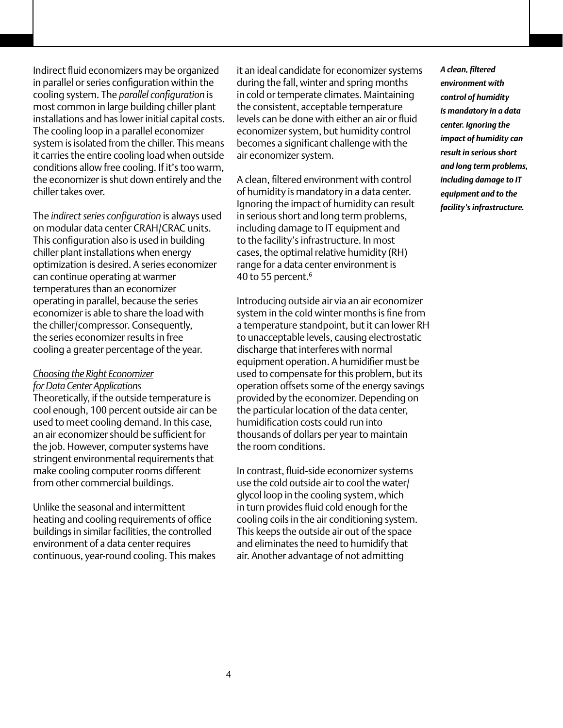Indirect fluid economizers may be organized in parallel or series configuration within the cooling system. The *parallel configuration* is most common in large building chiller plant installations and has lower initial capital costs. The cooling loop in a parallel economizer system is isolated from the chiller. This means it carries the entire cooling load when outside conditions allow free cooling. If it's too warm, the economizer is shut down entirely and the chiller takes over.

The *indirect series configuration* is always used on modular data center CRAH/CRAC units. This configuration also is used in building chiller plant installations when energy optimization is desired. A series economizer can continue operating at warmer temperatures than an economizer operating in parallel, because the series economizer is able to share the load with the chiller/compressor. Consequently, the series economizer results in free cooling a greater percentage of the year.

#### *Choosing the Right Economizer for Data Center Applications*

Theoretically, if the outside temperature is cool enough, 100 percent outside air can be used to meet cooling demand. In this case, an air economizer should be sufficient for the job. However, computer systems have stringent environmental requirements that make cooling computer rooms different from other commercial buildings.

Unlike the seasonal and intermittent heating and cooling requirements of office buildings in similar facilities, the controlled environment of a data center requires continuous, year-round cooling. This makes it an ideal candidate for economizer systems during the fall, winter and spring months in cold or temperate climates. Maintaining the consistent, acceptable temperature levels can be done with either an air or fluid economizer system, but humidity control becomes a significant challenge with the air economizer system.

A clean, filtered environment with control of humidity is mandatory in a data center. Ignoring the impact of humidity can result in serious short and long term problems, including damage to IT equipment and to the facility's infrastructure. In most cases, the optimal relative humidity (RH) range for a data center environment is 40 to 55 percent.<sup>6</sup>

Introducing outside air via an air economizer system in the cold winter months is fine from a temperature standpoint, but it can lower RH to unacceptable levels, causing electrostatic discharge that interferes with normal equipment operation. A humidifier must be used to compensate for this problem, but its operation offsets some of the energy savings provided by the economizer. Depending on the particular location of the data center, humidification costs could run into thousands of dollars per year to maintain the room conditions.

In contrast, fluid-side economizer systems use the cold outside air to cool the water/ glycol loop in the cooling system, which in turn provides fluid cold enough for the cooling coils in the air conditioning system. This keeps the outside air out of the space and eliminates the need to humidify that air. Another advantage of not admitting

*A clean, filtered environment with control of humidity is mandatory in a data center. Ignoring the impact of humidity can result in serious short and long term problems, including damage to IT equipment and to the facility's infrastructure.*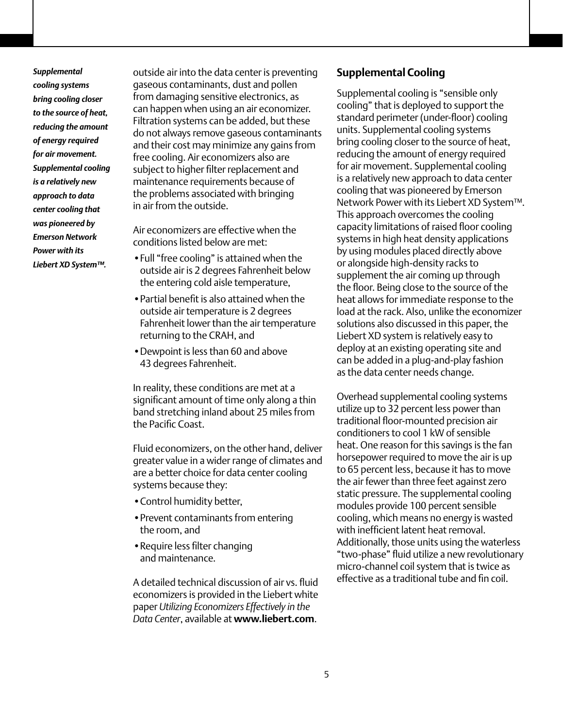*Supplemental cooling systems bring cooling closer to the source of heat, reducing the amount of energy required for air movement. Supplemental cooling is a relatively new approach to data center cooling that was pioneered by Emerson Network Power with its Liebert XD System™.*

outside air into the data center is preventing gaseous contaminants, dust and pollen from damaging sensitive electronics, as can happen when using an air economizer. Filtration systems can be added, but these do not always remove gaseous contaminants and their cost may minimize any gains from free cooling. Air economizers also are subject to higher filter replacement and maintenance requirements because of the problems associated with bringing in air from the outside.

Air economizers are effective when the conditions listed below are met:

- •Full "free cooling" is attained when the outside air is 2 degrees Fahrenheit below the entering cold aisle temperature,
- Partial benefit is also attained when the outside air temperature is 2 degrees Fahrenheit lower than the air temperature returning to the CRAH, and
- Dewpoint is less than 60 and above 43 degrees Fahrenheit.

In reality, these conditions are met at a significant amount of time only along a thin band stretching inland about 25 miles from the Pacific Coast.

Fluid economizers, on the other hand, deliver greater value in a wider range of climates and are a better choice for data center cooling systems because they:

- •Control humidity better,
- •Prevent contaminants from entering the room, and
- •Require less filter changing and maintenance.

A detailed technical discussion of air vs. fluid economizers is provided in the Liebert white paper *Utilizing Economizers Effectively in the Data Center*, available at **www.liebert.com**.

#### **Supplemental Cooling**

Supplemental cooling is "sensible only cooling" that is deployed to support the standard perimeter (under-floor) cooling units. Supplemental cooling systems bring cooling closer to the source of heat, reducing the amount of energy required for air movement. Supplemental cooling is a relatively new approach to data center cooling that was pioneered by Emerson Network Power with its Liebert XD System™. This approach overcomes the cooling capacity limitations of raised floor cooling systems in high heat density applications by using modules placed directly above or alongside high-density racks to supplement the air coming up through the floor. Being close to the source of the heat allows for immediate response to the load at the rack. Also, unlike the economizer solutions also discussed in this paper, the Liebert XD system is relatively easy to deploy at an existing operating site and can be added in a plug-and-play fashion as the data center needs change.

Overhead supplemental cooling systems utilize up to 32 percent less power than traditional floor-mounted precision air conditioners to cool 1 kW of sensible heat. One reason for this savings is the fan horsepower required to move the air is up to 65 percent less, because it has to move the air fewer than three feet against zero static pressure. The supplemental cooling modules provide 100 percent sensible cooling, which means no energy is wasted with inefficient latent heat removal. Additionally, those units using the waterless "two-phase" fluid utilize a new revolutionary micro-channel coil system that is twice as effective as a traditional tube and fin coil.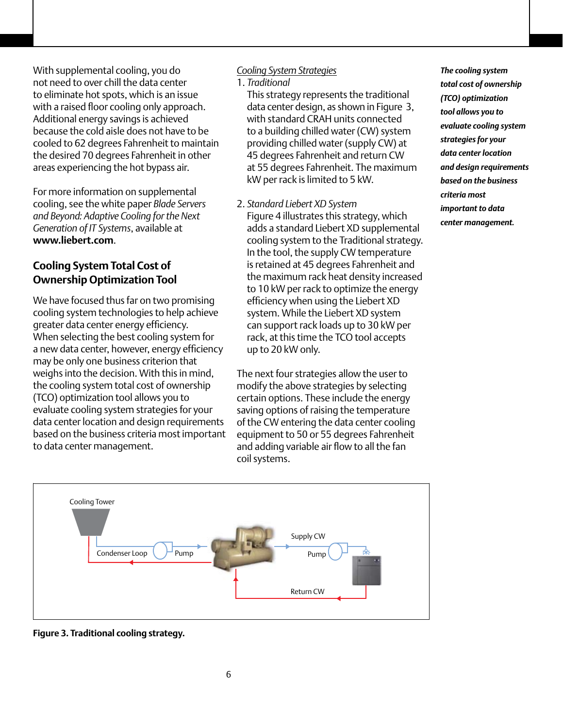With supplemental cooling, you do not need to over chill the data center to eliminate hot spots, which is an issue with a raised floor cooling only approach. Additional energy savings is achieved because the cold aisle does not have to be cooled to 62 degrees Fahrenheit to maintain the desired 70 degrees Fahrenheit in other areas experiencing the hot bypass air.

For more information on supplemental cooling, see the white paper *Blade Servers and Beyond: Adaptive Cooling for the Next Generation of IT Systems*, available at **www.liebert.com**.

# **Cooling System Total Cost of Ownership Optimization Tool**

We have focused thus far on two promising cooling system technologies to help achieve greater data center energy efficiency. When selecting the best cooling system for a new data center, however, energy efficiency may be only one business criterion that weighs into the decision. With this in mind, the cooling system total cost of ownership (TCO) optimization tool allows you to evaluate cooling system strategies for your data center location and design requirements based on the business criteria most important to data center management.

#### *Cooling System Strategies*

1. *Traditional*

This strategy represents the traditional data center design, as shown in Figure 3, with standard CRAH units connected to a building chilled water (CW) system providing chilled water (supply CW) at 45 degrees Fahrenheit and return CW at 55 degrees Fahrenheit. The maximum kW per rack is limited to 5 kW.

2. *Standard Liebert XD System* Figure 4 illustrates this strategy, which adds a standard Liebert XD supplemental cooling system to the Traditional strategy. In the tool, the supply CW temperature is retained at 45 degrees Fahrenheit and the maximum rack heat density increased to 10 kW per rack to optimize the energy efficiency when using the Liebert XD system. While the Liebert XD system can support rack loads up to 30 kW per rack, at this time the TCO tool accepts up to 20 kW only.

The next four strategies allow the user to modify the above strategies by selecting certain options. These include the energy saving options of raising the temperature of the CW entering the data center cooling equipment to 50 or 55 degrees Fahrenheit and adding variable air flow to all the fan coil systems.

*The cooling system total cost of ownership (TCO) optimization tool allows you to evaluate cooling system strategies for your data center location and design requirements based on the business criteria most important to data center management.*



**Figure 3. Traditional cooling strategy.**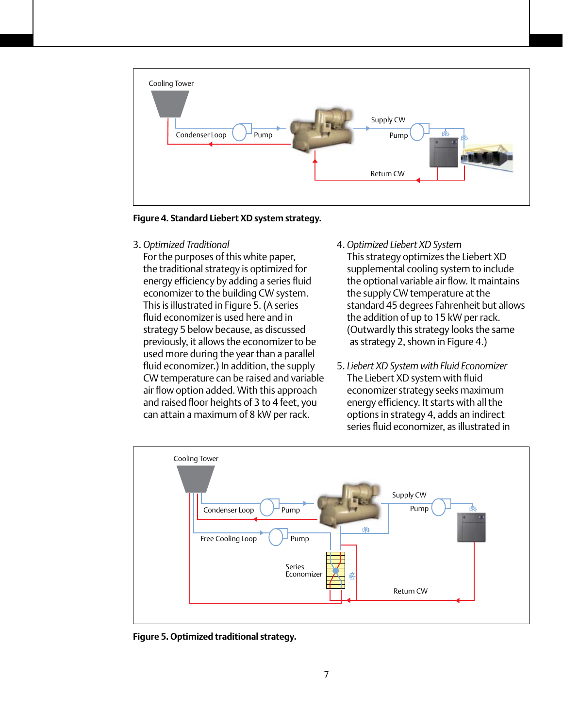

**Figure 4. Standard Liebert XD system strategy.**

3. *Optimized Traditional*

For the purposes of this white paper, the traditional strategy is optimized for energy efficiency by adding a series fluid economizer to the building CW system. This is illustrated in Figure 5. (A series fluid economizer is used here and in strategy 5 below because, as discussed previously, it allows the economizer to be used more during the year than a parallel fluid economizer.) In addition, the supply CW temperature can be raised and variable air flow option added. With this approach and raised floor heights of 3 to 4 feet, you can attain a maximum of 8 kW per rack.

- 4. *Optimized Liebert XD System* This strategy optimizes the Liebert XD supplemental cooling system to include the optional variable air flow. It maintains the supply CW temperature at the standard 45 degrees Fahrenheit but allows the addition of up to 15 kW per rack. (Outwardly this strategy looks the same as strategy 2, shown in Figure 4.)
- 5. *Liebert XD System with Fluid Economizer* The Liebert XD system with fluid economizer strategy seeks maximum energy efficiency. It starts with all the options in strategy 4, adds an indirect series fluid economizer, as illustrated in



**Figure 5. Optimized traditional strategy.**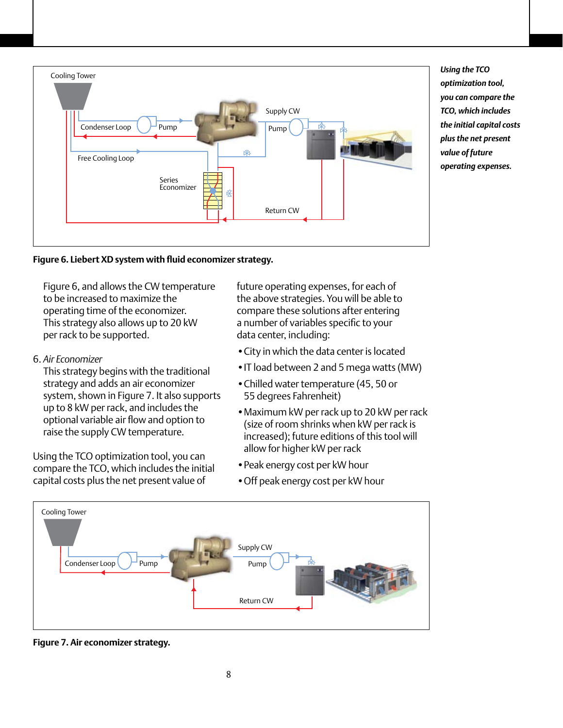

*Using the TCO optimization tool, you can compare the TCO, which includes the initial capital costs plus the net present value of future operating expenses.*



Figure 6, and allows the CW temperature to be increased to maximize the operating time of the economizer. This strategy also allows up to 20 kW per rack to be supported.

6. *Air Economizer*

This strategy begins with the traditional strategy and adds an air economizer system, shown in Figure 7. It also supports up to 8 kW per rack, and includes the optional variable air flow and option to raise the supply CW temperature.

Using the TCO optimization tool, you can compare the TCO, which includes the initial capital costs plus the net present value of

future operating expenses, for each of the above strategies. You will be able to compare these solutions after entering a number of variables specific to your data center, including:

- •City in which the data center is located
- •IT load between 2 and 5 mega watts (MW)
- Chilled water temperature (45, 50 or 55 degrees Fahrenheit)
- •Maximum kW per rack up to 20 kW per rack (size of room shrinks when kW per rack is increased); future editions of this tool will allow for higher kW per rack
- •Peak energy cost per kW hour
- •Off peak energy cost per kW hour



**Figure 7. Air economizer strategy.**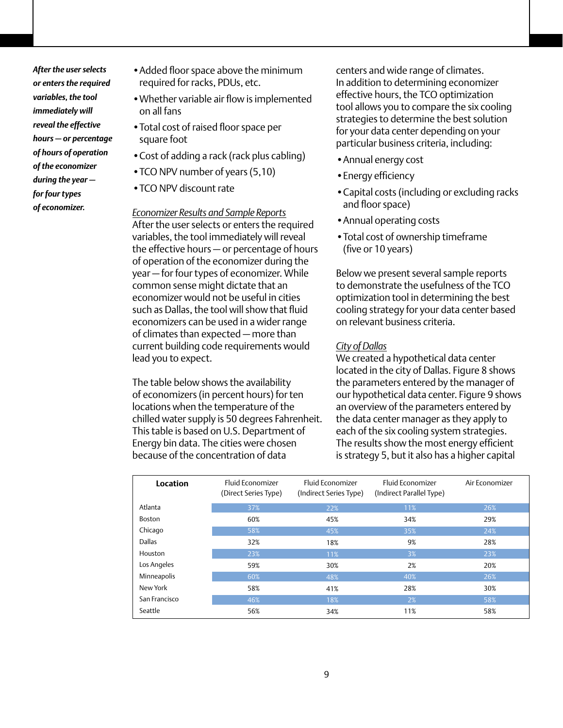*After the user selects or enters the required variables, the tool immediately will reveal the effective hours — or percentage of hours of operation of the economizer during the year for four types of economizer.*

- •Added floor space above the minimum required for racks, PDUs, etc.
- •Whether variable air flow is implemented on all fans
- •Total cost of raised floor space per square foot
- •Cost of adding a rack (rack plus cabling)
- •TCO NPV number of years (5,10)
- TCO NPV discount rate

#### *Economizer Results and Sample Reports*

After the user selects or enters the required variables, the tool immediately will reveal the effective hours — or percentage of hours of operation of the economizer during the year — for four types of economizer. While common sense might dictate that an economizer would not be useful in cities such as Dallas, the tool will show that fluid economizers can be used in a wider range of climates than expected — more than current building code requirements would lead you to expect.

The table below shows the availability of economizers (in percent hours) for ten locations when the temperature of the chilled water supply is 50 degrees Fahrenheit. This table is based on U.S. Department of Energy bin data. The cities were chosen because of the concentration of data

centers and wide range of climates. In addition to determining economizer effective hours, the TCO optimization tool allows you to compare the six cooling strategies to determine the best solution for your data center depending on your particular business criteria, including:

- •Annual energy cost
- •Energy efficiency
- •Capital costs (including or excluding racks and floor space)
- •Annual operating costs
- •Total cost of ownership timeframe (five or 10 years)

Below we present several sample reports to demonstrate the usefulness of the TCO optimization tool in determining the best cooling strategy for your data center based on relevant business criteria.

#### *City of Dallas*

We created a hypothetical data center located in the city of Dallas. Figure 8 shows the parameters entered by the manager of our hypothetical data center. Figure 9 shows an overview of the parameters entered by the data center manager as they apply to each of the six cooling system strategies. The results show the most energy efficient is strategy 5, but it also has a higher capital

| Location      | <b>Fluid Economizer</b><br>(Direct Series Type) | <b>Fluid Economizer</b><br>(Indirect Series Type) | <b>Fluid Economizer</b><br>(Indirect Parallel Type) | Air Economizer |
|---------------|-------------------------------------------------|---------------------------------------------------|-----------------------------------------------------|----------------|
| Atlanta       | 37%                                             | 22%                                               | 11%                                                 | 26%            |
| Boston        | 60%                                             | 45%                                               | 34%                                                 | 29%            |
| Chicago       | 58%                                             | 45%                                               | 35%                                                 | 24%            |
| <b>Dallas</b> | 32%                                             | 18%                                               | 9%                                                  | 28%            |
| Houston       | 23%                                             | 11%                                               | 3%                                                  | 23%            |
| Los Angeles   | 59%                                             | 30%                                               | 2%                                                  | 20%            |
| Minneapolis   | 60%                                             | 48%                                               | 40%                                                 | 26%            |
| New York      | 58%                                             | 41%                                               | 28%                                                 | 30%            |
| San Francisco | 46%                                             | 18%                                               | 2%                                                  | 58%            |
| Seattle       | 56%                                             | 34%                                               | 11%                                                 | 58%            |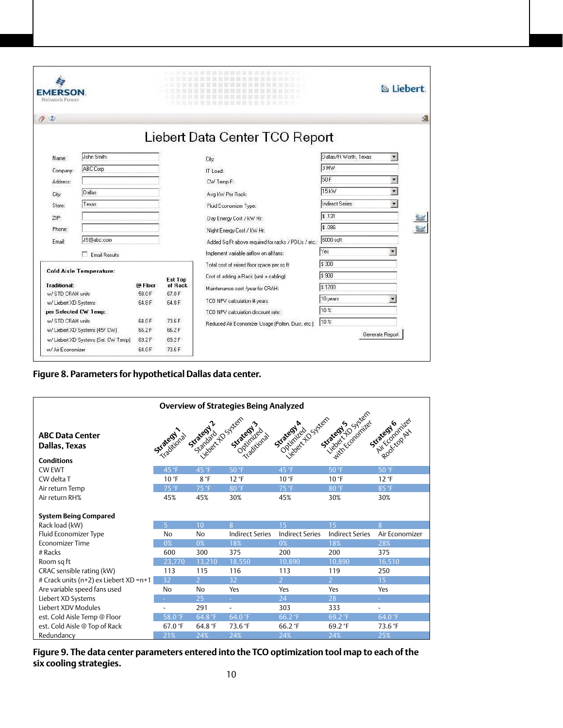| AERSON<br>Network Power                        |                                      |         |                           |                                                                    |                        | <b>&amp; Liebert.</b>    |  |
|------------------------------------------------|--------------------------------------|---------|---------------------------|--------------------------------------------------------------------|------------------------|--------------------------|--|
| Q                                              |                                      |         |                           |                                                                    |                        |                          |  |
|                                                |                                      |         |                           | Liebert Data Center TCO Report                                     |                        |                          |  |
| Name:                                          | John Smith                           |         |                           | City:                                                              | Dallas/Ft Worth, Texas | $\overline{\phantom{a}}$ |  |
| Company:                                       | ABC Corp                             |         |                           | IT Load:                                                           | 3 MW                   |                          |  |
| Address:                                       |                                      |         |                           | CW Temp F:                                                         | 50 F                   | $\blacktriangledown$     |  |
| City:                                          | Dallas                               |         |                           | Avg kW Per Rack:                                                   | 15 kW                  | $\overline{\phantom{0}}$ |  |
| State:                                         | Texas                                |         |                           | Fluid Economizer Type:                                             | Indirect Series        |                          |  |
| ZIP:                                           |                                      |         |                           | Day Energy Cost / KW Hr:                                           | \$.131                 |                          |  |
| Phone:                                         |                                      |         |                           | Night Energy Cost / kW Hr.                                         | \$.086                 |                          |  |
| Email:                                         | JS@abc.com                           |         |                           | Added Sq Ft above required for racks / PDUs / etc.:                | 6000 sqft              |                          |  |
|                                                | <b>Email Results</b>                 |         |                           | Implement variable airflow on all fans:                            | Yes                    |                          |  |
|                                                |                                      |         |                           | Total cost of raised floor space per sq ft:                        | \$ 300                 |                          |  |
|                                                | <b>Cold Aisle Temperature:</b>       |         |                           | Cost of adding a Rack (unit + cabling):                            | \$900                  |                          |  |
| <b>Traditional:</b>                            |                                      | @ Floor | <b>Est Top</b><br>of Rack | Maintenance cost /year for CRAH:                                   | \$1200                 |                          |  |
| w/ STD CRAH units                              |                                      | 58.0F   | 67.0F                     |                                                                    | 10 years               |                          |  |
| w/ Liebert XD Systems<br>per Selected CW Temp: |                                      | 64.8 F  | 64.8 F                    | TCO NPV calculation # years:<br>TCO NPV calculation discount rate: | 10%                    |                          |  |
| w/ STD CRAH units                              |                                      | 64.0F   | 73.6F                     |                                                                    | 10%                    |                          |  |
|                                                | w/ Liebert XD Systems (45F CW)       | 66.2F   | 66.2F                     | Reduced Air Economizer Usage (Pollen, Dust, etc.):                 |                        |                          |  |
|                                                | w/ Liebert XD Systems (Sel. CW Temp) | 69.2F   | 69.2F                     |                                                                    |                        | Generate Report          |  |
| w/ Air Economizer                              |                                      | 64.0 F  | 73.6 F                    |                                                                    |                        |                          |  |

## **Figure 8. Parameters for hypothetical Dallas data center.**

|                                                              |                |                     | <b>Overview of Strategies Being Analyzed</b> |                        |                                                   |                           |
|--------------------------------------------------------------|----------------|---------------------|----------------------------------------------|------------------------|---------------------------------------------------|---------------------------|
| <b>ABC Data Center</b><br>Dallas, Texas<br><b>Conditions</b> | Strategy 1.2   | SERIES 25 July 2019 | Sustaining<br>Traditional                    | Strategy & System      | lieber 10 System<br>with Economizes<br>Strategy's | Riccordanties<br>Strategy |
| <b>CW EWT</b>                                                | 45 °F          | 45 °F               | 50 °F                                        | 45 °F                  | 50 °F                                             | 50 °F                     |
| CW delta T                                                   | $10^{\circ}$ F | 8 °F                | 12 °F                                        | $10^{\circ}$ F         | $10^{\circ}$ F                                    | 12 °F                     |
| Air return Temp                                              | 75 °F          | 75 °F               | 80 °F                                        | 75 °F                  | 80 °F                                             | 85 °F                     |
| Air return RH%                                               | 45%            | 45%                 | 30%                                          | 45%                    | 30%                                               | 30%                       |
|                                                              |                |                     |                                              |                        |                                                   |                           |
| <b>System Being Compared</b>                                 |                |                     |                                              |                        |                                                   |                           |
| Rack load (kW)                                               | $\overline{5}$ | 10                  | 8                                            | 15                     | 15                                                | 8                         |
| Fluid Economizer Type                                        | No             | <b>No</b>           | <b>Indirect Series</b>                       | <b>Indirect Series</b> | <b>Indirect Series</b>                            | Air Economizer            |
| <b>Economizer Time</b>                                       | 0%             | 0%                  | 18%                                          | 0%                     | 18%                                               | 28%                       |
| $#$ Racks                                                    | 600            | 300                 | 375                                          | 200                    | 200                                               | 375                       |
| Room sq ft                                                   | 23,770         | 13,210              | 18,550                                       | 10,890                 | 10,890                                            | 16,510                    |
| CRAC sensible rating (kW)                                    | 113            | 115                 | 116                                          | 113                    | 119                                               | 250                       |
| # Crack units (n+2) ex Liebert XD =n+1                       | 32             | $\mathcal{L}$       | 32                                           | $\overline{2}$         | $\overline{2}$                                    | 15                        |
| Are variable speed fans used                                 | N <sub>0</sub> | <b>No</b>           | Yes                                          | Yes                    | Yes                                               | Yes                       |
| Liebert XD Systems                                           |                | 25                  | ÷.                                           | 24                     | 28                                                | ÷.                        |
| Liebert XDV Modules                                          |                | 291                 | $\overline{\phantom{a}}$                     | 303                    | 333                                               | $\overline{\phantom{a}}$  |
| est. Cold Aisle Temp @ Floor                                 | 58.0 °F        | 64.8 °F             | 64.0 °F                                      | 66.2 °F                | 69.2 °F                                           | 64.0 °F                   |
| est. Cold Aisle @ Top of Rack                                | 67.0 $°F$      | 64.8 °F             | 73.6 °F                                      | 66.2 °F                | 69.2 $°F$                                         | 73.6 °F                   |
| Redundancy                                                   | 21%            | 24%                 | 24%                                          | 24%                    | 24%                                               | 25%                       |

#### **Figure 9. The data center parameters entered into the TCO optimization tool map to each of the six cooling strategies.**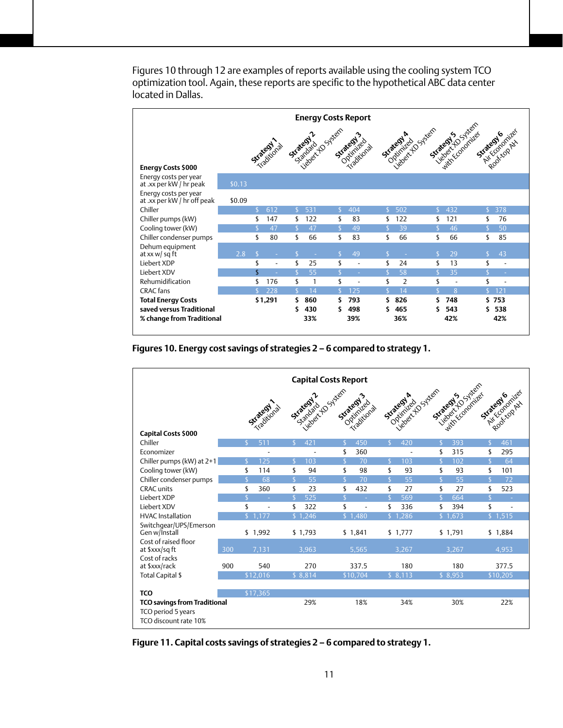| <b>Energy Costs Report</b>                           |        |    |                          |     |                                |     |                                               |     |                |                    |            |                                                   |                              |  |
|------------------------------------------------------|--------|----|--------------------------|-----|--------------------------------|-----|-----------------------------------------------|-----|----------------|--------------------|------------|---------------------------------------------------|------------------------------|--|
| <b>Energy Costs \$000</b>                            |        |    | <b>Strategy</b>          |     | liebert to System<br>Suatedy 2 |     | Strategy's<br>Optimized<br><b>Traditional</b> |     | Strategy A     | iebert 10 Street   | Strategy's | leager to System<br>Strategy 6<br>with Economizes | Air Economizes<br>Rooktopath |  |
| Energy costs per year<br>at .xx per kW / hr peak     | \$0.13 |    |                          |     |                                |     |                                               |     |                |                    |            |                                                   |                              |  |
| Energy costs per year<br>at .xx per kW / hr off peak | \$0.09 |    |                          |     |                                |     |                                               |     |                |                    |            |                                                   |                              |  |
| Chiller                                              |        | \$ | 612                      | S   | 531                            | S.  | 404                                           | S.  | 502            | S                  | 432        | S.                                                | 378                          |  |
| Chiller pumps (kW)                                   |        | \$ | 147                      | \$  | 122                            | \$  | 83                                            | \$  | 122            | \$                 | 121        | \$                                                | 76                           |  |
| Cooling tower (kW)                                   |        |    | 47                       | Ŝ   | 47                             |     | 49                                            |     | 39             | $\varsigma$        | 46         |                                                   | 50                           |  |
| Chiller condenser pumps                              |        | \$ | 80                       | \$  | 66                             | \$  | 83                                            | \$  | 66             | \$                 | 66         | \$                                                | 85                           |  |
| Dehum equipment<br>at xx $w/sq$ ft                   | 2.8    | S  |                          |     |                                | S.  | 49                                            |     |                | \$.                | 29         | \$                                                | 43                           |  |
| Liebert XDP                                          |        | \$ | $\overline{\phantom{a}}$ | \$  | 25                             | \$  | $\overline{\phantom{a}}$                      | \$  | 24             | \$                 | 13         | \$                                                | $\overline{\phantom{a}}$     |  |
| Liebert XDV                                          |        | \$ |                          |     | 55                             | \$. |                                               | \$. | 58             | $\hat{\mathbf{S}}$ | 35         |                                                   |                              |  |
| Rehumidification                                     |        | \$ | 176                      | \$  | 1                              | \$  | ÷,                                            | \$  | $\overline{2}$ | \$                 | ٠          | \$                                                |                              |  |
| CRAC fans                                            |        |    | 228                      | \$. | 14                             | \$. | 125                                           |     | 14             | ٢                  | 8          |                                                   | \$121                        |  |
| <b>Total Energy Costs</b>                            |        |    | \$1,291                  | \$  | 860                            | S   | 793                                           | S   | 826            | Ś                  | 748        |                                                   | \$753                        |  |
| saved versus Traditional                             |        |    |                          | S   | 430                            | \$  | 498                                           | Ś   | 465            | Ś                  | 543        | S                                                 | 538                          |  |
| % change from Traditional                            |        |    |                          |     | 33%                            |     | 39%                                           |     | 36%            |                    | 42%        |                                                   | 42%                          |  |
|                                                      |        |    |                          |     |                                |     |                                               |     |                |                    |            |                                                   |                              |  |

Figures 10 through 12 are examples of reports available using the cooling system TCO optimization tool. Again, these reports are specific to the hypothetical ABC data center located in Dallas.

#### **Figures 10. Energy cost savings of strategies 2 – 6 compared to strategy 1.**

|                                             |     |               |               |               | <b>Capital Costs Report</b> |                |                           |                         |                     |                    |                                  |                    |                 |
|---------------------------------------------|-----|---------------|---------------|---------------|-----------------------------|----------------|---------------------------|-------------------------|---------------------|--------------------|----------------------------------|--------------------|-----------------|
| <b>Capital Costs \$000</b>                  |     |               | Strategy 1.21 |               | COSLE CONTROLL              |                | Sustainled<br>Traditional |                         | Strategy & C Street |                    | Sueed 20 yrac<br>With Economizes |                    | Strategy of the |
| Chiller                                     |     | $\mathsf{\$}$ | 511           | $\mathbf{S}$  | 421                         | $\mathsf{S}$   | 450                       | $\mathbb{S}$            | 420                 | $\mathbf{S}$       | 393                              | $\mathsf{\$}$      | 461             |
| Economizer                                  |     |               |               |               |                             | \$             | 360                       |                         |                     | \$                 | 315                              | \$                 | 295             |
| Chiller pumps (kW) at 2+1                   |     | S             | 125           | $\mathsf{\$}$ | 103                         | \$             | 70                        | $\mathsf{\$}$           | 103                 | $\mathsf{\$}$      | 102                              | $\mathsf{\$}$      | 64              |
| Cooling tower (kW)                          |     | \$            | 114           | \$            | 94                          | \$             | 98                        | \$                      | 93                  | \$                 | 93                               | \$                 | 101             |
| Chiller condenser pumps                     |     | $\mathsf{\$}$ | 68            | $\mathsf{\$}$ | 55                          | $\overline{S}$ | 70                        | $\mathsf{S}$            | 55                  | $\mathsf{\$}$      | 55                               | $\mathsf{\$}$      | 72              |
| <b>CRAC</b> units                           |     | \$            | 360           | \$            | 23                          | \$             | 432                       | \$                      | 27                  | \$                 | 27                               | \$                 | 523             |
| Liebert XDP                                 |     | $\zeta$       |               | $\zeta$       | 525                         | $\zeta$        | ÷.                        | $\overline{\mathbb{S}}$ | 569                 | $\hat{\mathbf{r}}$ | 664                              | $\hat{\mathbf{S}}$ |                 |
| Liebert XDV                                 |     | \$            | ٠             | \$            | 322                         | \$             | $\overline{\phantom{a}}$  | \$                      | 336                 | \$                 | 394                              | \$                 | Ĭ.              |
| <b>HVAC</b> Installation                    |     |               | \$1.177       |               | \$1,246                     |                | \$1,480                   |                         | \$1,286             |                    | \$1.673                          |                    | \$1,515         |
| Switchgear/UPS/Emerson<br>Gen w/Install     |     |               | \$1,992       |               | \$1,793                     |                | \$1,841                   |                         | \$1.777             |                    | \$1,791                          |                    | \$1,884         |
| Cost of raised floor<br>at \$xxx/sq ft      | 300 |               | 7.131         |               | 3.963                       |                | 5.565                     |                         | 3.267               |                    | 3.267                            |                    | 4.953           |
| Cost of racks<br>at \$xxx/rack              | 900 |               | 540           |               | 270                         |                | 337.5                     |                         | 180                 |                    | 180                              |                    | 377.5           |
| Total Capital \$                            |     |               | \$12,016      |               | \$8,814                     |                | \$10,704                  |                         | \$8,113             |                    | \$8,953                          |                    | \$10,205        |
| <b>TCO</b>                                  |     |               | \$17.365      |               |                             |                |                           |                         |                     |                    |                                  |                    |                 |
| <b>TCO savings from Traditional</b>         |     |               |               |               | 29%                         |                | 18%                       |                         | 34%                 |                    | 30%                              |                    | 22%             |
| TCO period 5 years<br>TCO discount rate 10% |     |               |               |               |                             |                |                           |                         |                     |                    |                                  |                    |                 |

**Figure 11. Capital costs savings of strategies 2 – 6 compared to strategy 1.**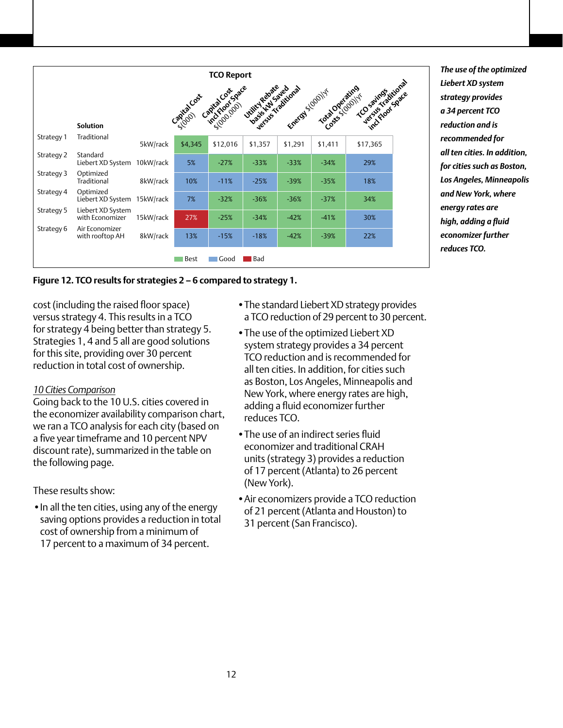| <b>TCO Report</b><br>rcu |                                      |           |         |          |                              |         |                           |                   |  |  |
|--------------------------|--------------------------------------|-----------|---------|----------|------------------------------|---------|---------------------------|-------------------|--|--|
|                          |                                      |           |         |          | <b>United Reports, drama</b> |         | English formal degreement | TO saintestitions |  |  |
|                          |                                      |           |         |          |                              |         |                           |                   |  |  |
|                          | <b>Solution</b>                      |           |         |          |                              |         |                           |                   |  |  |
| Strategy 1               | Traditional                          | 5kW/rack  | \$4,345 | \$12,016 | \$1,357                      | \$1,291 | \$1,411                   | \$17,365          |  |  |
| Strategy 2               | Standard<br>Liebert XD System        | 10kW/rack | 5%      | $-27%$   | $-33%$                       | $-33%$  | $-34%$                    | 29%               |  |  |
| Strategy 3               | Optimized<br>Traditional             | 8kW/rack  | 10%     | $-11%$   | $-25%$                       | $-39%$  | $-35%$                    | 18%               |  |  |
| Strategy 4               | Optimized<br>Liebert XD System       | 15kW/rack | 7%      | $-32%$   | $-36%$                       | $-36%$  | $-37%$                    | 34%               |  |  |
| Strategy 5               | Liebert XD System<br>with Economizer | 15kW/rack | 27%     | $-25%$   | $-34%$                       | $-42%$  | $-41%$                    | 30%               |  |  |
| Strategy 6               | Air Economizer<br>with rooftop AH    | 8kW/rack  | 13%     | $-15%$   | $-18%$                       | $-42%$  | $-39%$                    | 22%               |  |  |
|                          |                                      |           | Best    | Good     | <b>Bad</b>                   |         |                           |                   |  |  |

*The use of the optimized Liebert XD system strategy provides a 34 percent TCO reduction and is recommended for all ten cities. In addition, for cities such as Boston, Los Angeles, Minneapolis and New York, where energy rates are high, adding a fluid economizer further reduces TCO.*

#### **Figure 12. TCO results for strategies 2 – 6 compared to strategy 1.**

cost (including the raised floor space) versus strategy 4. This results in a TCO for strategy 4 being better than strategy 5. Strategies 1, 4 and 5 all are good solutions for this site, providing over 30 percent reduction in total cost of ownership.

#### *10 Cities Comparison*

Going back to the 10 U.S. cities covered in the economizer availability comparison chart, we ran a TCO analysis for each city (based on a five year timeframe and 10 percent NPV discount rate), summarized in the table on the following page.

These results show:

• In all the ten cities, using any of the energy saving options provides a reduction in total cost of ownership from a minimum of 17 percent to a maximum of 34 percent.

- The standard Liebert XD strategy provides a TCO reduction of 29 percent to 30 percent.
- The use of the optimized Liebert XD system strategy provides a 34 percent TCO reduction and is recommended for all ten cities. In addition, for cities such as Boston, Los Angeles, Minneapolis and New York, where energy rates are high, adding a fluid economizer further reduces TCO.
- •The use of an indirect series fluid economizer and traditional CRAH units (strategy 3) provides a reduction of 17 percent (Atlanta) to 26 percent (New York).
- •Air economizers provide a TCO reduction of 21 percent (Atlanta and Houston) to 31 percent (San Francisco).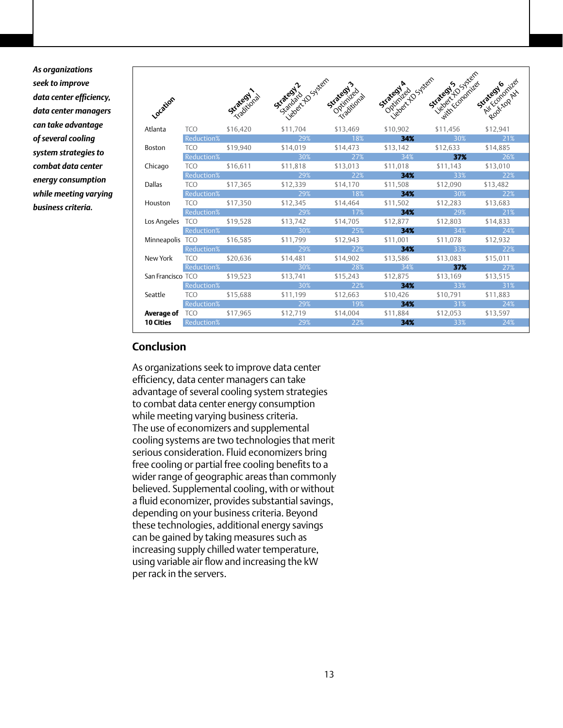*As organizations seek to improve data center efficiency, data center managers can take advantage of several cooling system strategies to combat data center energy consumption while meeting varying business criteria.*

|                   |                                |             | liebert 40 System<br>Strategy & | Strategy 2019     | iebeck to System<br>Strategy A<br>Octimized | lebel to System<br>with Economizes<br>Strategy's | Air Egyptizer<br>Strategy |
|-------------------|--------------------------------|-------------|---------------------------------|-------------------|---------------------------------------------|--------------------------------------------------|---------------------------|
| Location          |                                | Strategy in |                                 |                   |                                             |                                                  | Rooktop Atx               |
| Atlanta           | TCO <b>TELESTION</b>           | \$16,420    | \$11.704                        | \$13,469          | \$10.902                                    | \$11.456                                         | \$12.941                  |
|                   | <b>Reduction%</b>              |             | 29%                             | 18%               | 34%                                         | 30%                                              | 21%                       |
| Boston            | <b>TCO</b>                     | \$19,940    | \$14,019                        | \$14,473          | \$13.142                                    | \$12,633                                         | \$14,885                  |
|                   | <b>Reduction%</b>              |             | $30\%$                          |                   | $27\%$ and $34\%$ and $34\%$                |                                                  | <b>37%</b> 26%            |
| Chicago           | TCO \$16,611                   |             | \$11.818                        | \$13,013          | \$11,018                                    | \$11,143                                         | \$13,010                  |
|                   | Reduction%                     |             | 29%                             | 22%               | 34%                                         | 33%                                              | 22%                       |
| Dallas            | <b>TCO</b>                     | \$17.365    | \$12,339                        | \$14,170          | \$11,508                                    | \$12,090                                         | \$13,482                  |
|                   | Reduction%                     |             | 29%                             | 18%               | 34%                                         | 30%                                              | 22%                       |
| Houston           | <b>TCO</b>                     | \$17.350    | \$12.345                        | \$14,464          | \$11,502                                    | \$12.283                                         | \$13,683                  |
|                   | Reduction%                     |             |                                 |                   | 34%                                         |                                                  | 21%                       |
|                   | Los Angeles TCO \$19,528       |             | \$13,742                        | \$14,705          | \$12,877                                    | \$12,803                                         | \$14,833                  |
|                   | Reduction%                     |             | 30%                             | 25%               | 34%                                         | 34%                                              | 24%                       |
|                   | Minneapolis TCO \$16,585       |             | \$11,799                        | \$12,943          | \$11.001                                    | \$11,078                                         | \$12,932                  |
|                   | Reduction%                     |             | $\sim$ 29% $^{\circ}$           | 22%               | 34%                                         | 33%                                              | 22%                       |
| New York          | TCO \$20,636                   |             | \$14.481                        | \$14.902          | \$13.586                                    | \$13,083                                         | \$15,011                  |
|                   | <b>Reduction%</b>              |             | 30%                             | 28%               | 34%                                         | 37%                                              | 27%                       |
| San Francisco TCO |                                | \$19,523    | \$13,741                        | \$15,243          | \$12.875                                    | \$13,169                                         | \$13,515                  |
|                   | <b>Reduction%</b>              |             | $30\%$                          | $22\%$ and $22\%$ | 34%                                         | $33\%$ and $33\%$ and $31\%$                     |                           |
| Seattle           | <b>TCO</b>                     | \$15.688    | \$11.199                        | \$12,663          | \$10,426                                    | \$10,791                                         | \$11.883                  |
|                   | <b>Reduction%</b>              |             | 29%                             | 19%               | 34%                                         | 31%                                              | 24%                       |
|                   | <b>Average of</b> TCO \$17,965 |             | \$12,719                        | \$14,004 \$11,884 |                                             | \$12,053                                         | \$13,597                  |
| 10 Cities         | Reduction%                     |             | 29%                             | 22%               | 34%                                         | 33%                                              | 24%                       |
|                   |                                |             |                                 |                   |                                             |                                                  |                           |

# **Conclusion**

As organizations seek to improve data center efficiency, data center managers can take advantage of several cooling system strategies to combat data center energy consumption while meeting varying business criteria. The use of economizers and supplemental cooling systems are two technologies that merit serious consideration. Fluid economizers bring free cooling or partial free cooling benefits to a wider range of geographic areas than commonly believed. Supplemental cooling, with or without a fluid economizer, provides substantial savings, depending on your business criteria. Beyond these technologies, additional energy savings can be gained by taking measures such as increasing supply chilled water temperature, using variable air flow and increasing the kW per rack in the servers.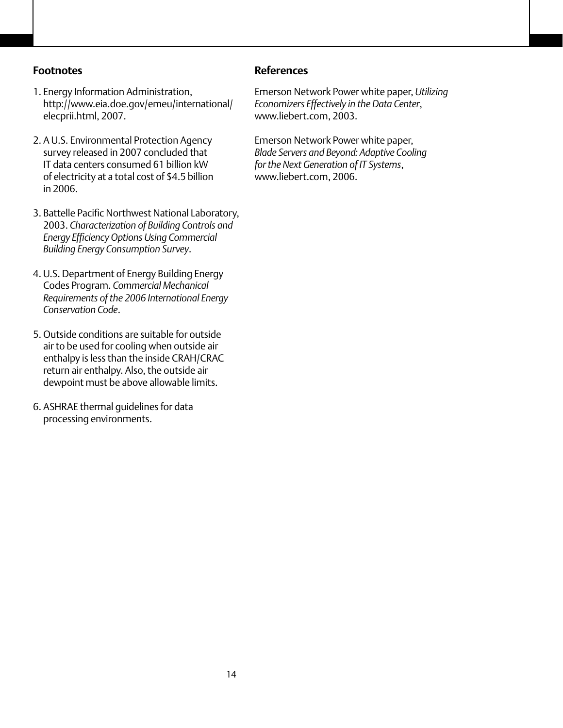### **Footnotes**

- 1. Energy Information Administration, http://www.eia.doe.gov/emeu/international/ elecprii.html, 2007.
- 2. A U.S. Environmental Protection Agency survey released in 2007 concluded that IT data centers consumed 61 billion kW of electricity at a total cost of \$4.5 billion in 2006.
- 3. Battelle Pacific Northwest National Laboratory, 2003. *Characterization of Building Controls and Energy Efficiency Options Using Commercial Building Energy Consumption Survey*.
- 4. U.S. Department of Energy Building Energy Codes Program. *Commercial Mechanical Requirements of the 2006 International Energy Conservation Code*.
- 5. Outside conditions are suitable for outside air to be used for cooling when outside air enthalpy is less than the inside CRAH/CRAC return air enthalpy. Also, the outside air dewpoint must be above allowable limits.
- 6. ASHRAE thermal guidelines for data processing environments.

### **References**

Emerson Network Power white paper, *Utilizing Economizers Effectively in the Data Center*, www.liebert.com, 2003.

Emerson Network Power white paper, *Blade Servers and Beyond: Adaptive Cooling for the Next Generation of IT Systems*, www.liebert.com, 2006.